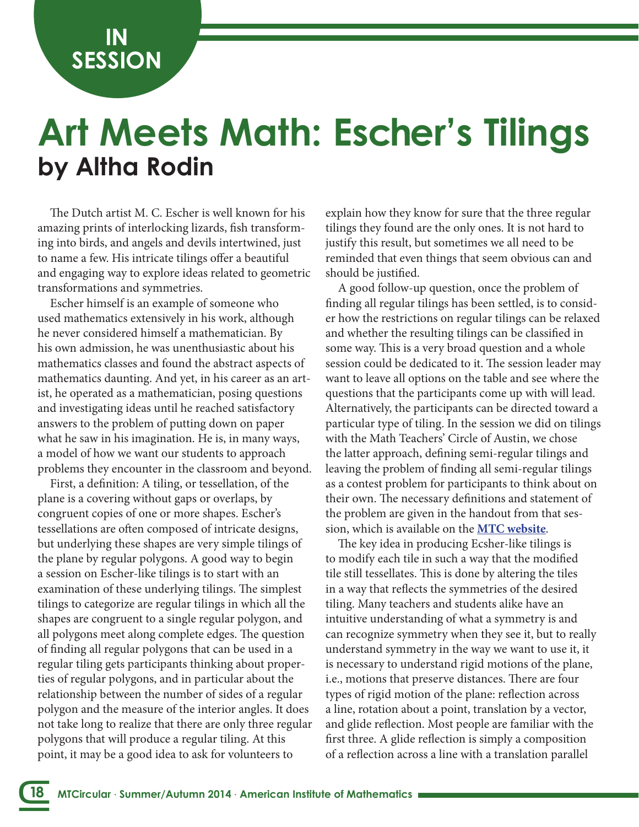**IN SESSION**

## **by Altha Rodin Art Meets Math: Escher's Tilings**

The Dutch artist M. C. Escher is well known for his amazing prints of interlocking lizards, fsh transforming into birds, and angels and devils intertwined, just to name a few. His intricate tilings offer a beautiful and engaging way to explore ideas related to geometric transformations and symmetries.

Escher himself is an example of someone who used mathematics extensively in his work, although he never considered himself a mathematician. By his own admission, he was unenthusiastic about his mathematics classes and found the abstract aspects of mathematics daunting. And yet, in his career as an artist, he operated as a mathematician, posing questions and investigating ideas until he reached satisfactory answers to the problem of putting down on paper what he saw in his imagination. He is, in many ways, a model of how we want our students to approach problems they encounter in the classroom and beyond.

First, a defnition: A tiling, or tessellation, of the plane is a covering without gaps or overlaps, by congruent copies of one or more shapes. Escher's tessellations are often composed of intricate designs, but underlying these shapes are very simple tilings of the plane by regular polygons. A good way to begin a session on Escher-like tilings is to start with an examination of these underlying tilings. The simplest tilings to categorize are regular tilings in which all the shapes are congruent to a single regular polygon, and all polygons meet along complete edges. The question of fnding all regular polygons that can be used in a regular tiling gets participants thinking about properties of regular polygons, and in particular about the relationship between the number of sides of a regular polygon and the measure of the interior angles. It does not take long to realize that there are only three regular polygons that will produce a regular tiling. At this point, it may be a good idea to ask for volunteers to

**18**

explain how they know for sure that the three regular tilings they found are the only ones. It is not hard to justify this result, but sometimes we all need to be reminded that even things that seem obvious can and should be justifed.

A good follow-up question, once the problem of fnding all regular tilings has been settled, is to consider how the restrictions on regular tilings can be relaxed and whether the resulting tilings can be classifed in some way. This is a very broad question and a whole session could be dedicated to it. The session leader may want to leave all options on the table and see where the questions that the participants come up with will lead. Alternatively, the participants can be directed toward a particular type of tiling. In the session we did on tilings with the Math Teachers' Circle of Austin, we chose the latter approach, defning semi-regular tilings and leaving the problem of fnding all semi-regular tilings as a contest problem for participants to think about on their own. The necessary definitions and statement of the problem are given in the handout from that session, which is available on the **[MTC website](http://www.mathteacherscircle.org/assets/session-materials/ARodinEscherTilings.pdf)**.

The key idea in producing Ecsher-like tilings is to modify each tile in such a way that the modifed tile still tessellates. This is done by altering the tiles in a way that refects the symmetries of the desired tiling. Many teachers and students alike have an intuitive understanding of what a symmetry is and can recognize symmetry when they see it, but to really understand symmetry in the way we want to use it, it is necessary to understand rigid motions of the plane, i.e., motions that preserve distances. There are four types of rigid motion of the plane: refection across a line, rotation about a point, translation by a vector, and glide refection. Most people are familiar with the frst three. A glide refection is simply a composition of a refection across a line with a translation parallel